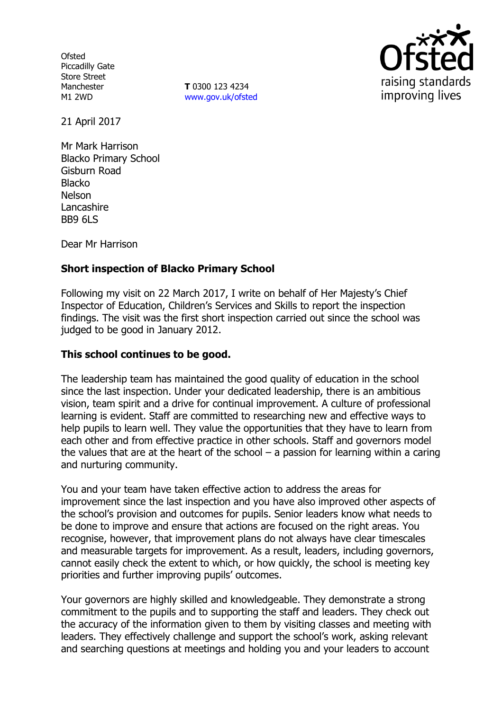**Ofsted** Piccadilly Gate Store Street Manchester M1 2WD

**T** 0300 123 4234 www.gov.uk/ofsted



21 April 2017

Mr Mark Harrison Blacko Primary School Gisburn Road **Blacko** Nelson Lancashire BB9 6LS

Dear Mr Harrison

# **Short inspection of Blacko Primary School**

Following my visit on 22 March 2017, I write on behalf of Her Majesty's Chief Inspector of Education, Children's Services and Skills to report the inspection findings. The visit was the first short inspection carried out since the school was judged to be good in January 2012.

## **This school continues to be good.**

The leadership team has maintained the good quality of education in the school since the last inspection. Under your dedicated leadership, there is an ambitious vision, team spirit and a drive for continual improvement. A culture of professional learning is evident. Staff are committed to researching new and effective ways to help pupils to learn well. They value the opportunities that they have to learn from each other and from effective practice in other schools. Staff and governors model the values that are at the heart of the school  $-$  a passion for learning within a caring and nurturing community.

You and your team have taken effective action to address the areas for improvement since the last inspection and you have also improved other aspects of the school's provision and outcomes for pupils. Senior leaders know what needs to be done to improve and ensure that actions are focused on the right areas. You recognise, however, that improvement plans do not always have clear timescales and measurable targets for improvement. As a result, leaders, including governors, cannot easily check the extent to which, or how quickly, the school is meeting key priorities and further improving pupils' outcomes.

Your governors are highly skilled and knowledgeable. They demonstrate a strong commitment to the pupils and to supporting the staff and leaders. They check out the accuracy of the information given to them by visiting classes and meeting with leaders. They effectively challenge and support the school's work, asking relevant and searching questions at meetings and holding you and your leaders to account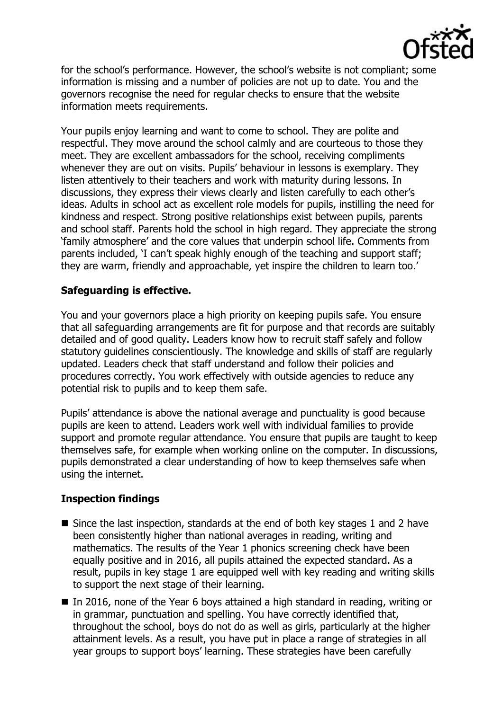

for the school's performance. However, the school's website is not compliant; some information is missing and a number of policies are not up to date. You and the governors recognise the need for regular checks to ensure that the website information meets requirements.

Your pupils enjoy learning and want to come to school. They are polite and respectful. They move around the school calmly and are courteous to those they meet. They are excellent ambassadors for the school, receiving compliments whenever they are out on visits. Pupils' behaviour in lessons is exemplary. They listen attentively to their teachers and work with maturity during lessons. In discussions, they express their views clearly and listen carefully to each other's ideas. Adults in school act as excellent role models for pupils, instilling the need for kindness and respect. Strong positive relationships exist between pupils, parents and school staff. Parents hold the school in high regard. They appreciate the strong 'family atmosphere' and the core values that underpin school life. Comments from parents included, 'I can't speak highly enough of the teaching and support staff; they are warm, friendly and approachable, yet inspire the children to learn too.'

## **Safeguarding is effective.**

You and your governors place a high priority on keeping pupils safe. You ensure that all safeguarding arrangements are fit for purpose and that records are suitably detailed and of good quality. Leaders know how to recruit staff safely and follow statutory guidelines conscientiously. The knowledge and skills of staff are regularly updated. Leaders check that staff understand and follow their policies and procedures correctly. You work effectively with outside agencies to reduce any potential risk to pupils and to keep them safe.

Pupils' attendance is above the national average and punctuality is good because pupils are keen to attend. Leaders work well with individual families to provide support and promote regular attendance. You ensure that pupils are taught to keep themselves safe, for example when working online on the computer. In discussions, pupils demonstrated a clear understanding of how to keep themselves safe when using the internet.

### **Inspection findings**

- Since the last inspection, standards at the end of both key stages 1 and 2 have been consistently higher than national averages in reading, writing and mathematics. The results of the Year 1 phonics screening check have been equally positive and in 2016, all pupils attained the expected standard. As a result, pupils in key stage 1 are equipped well with key reading and writing skills to support the next stage of their learning.
- In 2016, none of the Year 6 boys attained a high standard in reading, writing or in grammar, punctuation and spelling. You have correctly identified that, throughout the school, boys do not do as well as girls, particularly at the higher attainment levels. As a result, you have put in place a range of strategies in all year groups to support boys' learning. These strategies have been carefully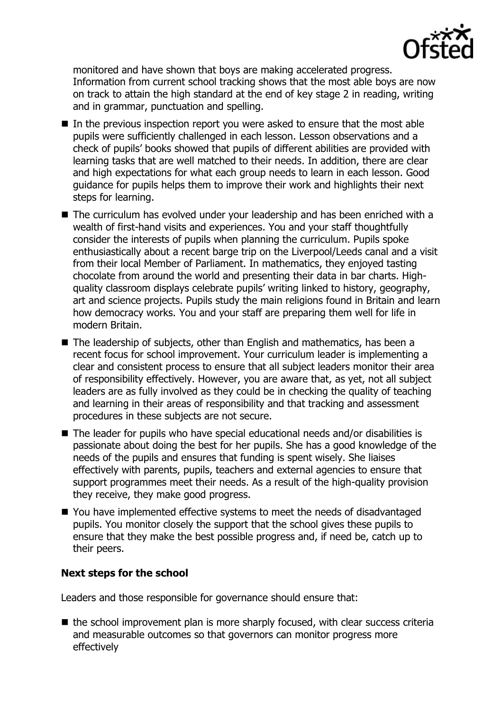

monitored and have shown that boys are making accelerated progress. Information from current school tracking shows that the most able boys are now on track to attain the high standard at the end of key stage 2 in reading, writing and in grammar, punctuation and spelling.

- $\blacksquare$  In the previous inspection report you were asked to ensure that the most able pupils were sufficiently challenged in each lesson. Lesson observations and a check of pupils' books showed that pupils of different abilities are provided with learning tasks that are well matched to their needs. In addition, there are clear and high expectations for what each group needs to learn in each lesson. Good guidance for pupils helps them to improve their work and highlights their next steps for learning.
- The curriculum has evolved under your leadership and has been enriched with a wealth of first-hand visits and experiences. You and your staff thoughtfully consider the interests of pupils when planning the curriculum. Pupils spoke enthusiastically about a recent barge trip on the Liverpool/Leeds canal and a visit from their local Member of Parliament. In mathematics, they enjoyed tasting chocolate from around the world and presenting their data in bar charts. Highquality classroom displays celebrate pupils' writing linked to history, geography, art and science projects. Pupils study the main religions found in Britain and learn how democracy works. You and your staff are preparing them well for life in modern Britain.
- The leadership of subiects, other than English and mathematics, has been a recent focus for school improvement. Your curriculum leader is implementing a clear and consistent process to ensure that all subject leaders monitor their area of responsibility effectively. However, you are aware that, as yet, not all subject leaders are as fully involved as they could be in checking the quality of teaching and learning in their areas of responsibility and that tracking and assessment procedures in these subjects are not secure.
- The leader for pupils who have special educational needs and/or disabilities is passionate about doing the best for her pupils. She has a good knowledge of the needs of the pupils and ensures that funding is spent wisely. She liaises effectively with parents, pupils, teachers and external agencies to ensure that support programmes meet their needs. As a result of the high-quality provision they receive, they make good progress.
- You have implemented effective systems to meet the needs of disadvantaged pupils. You monitor closely the support that the school gives these pupils to ensure that they make the best possible progress and, if need be, catch up to their peers.

### **Next steps for the school**

Leaders and those responsible for governance should ensure that:

 $\blacksquare$  the school improvement plan is more sharply focused, with clear success criteria and measurable outcomes so that governors can monitor progress more effectively